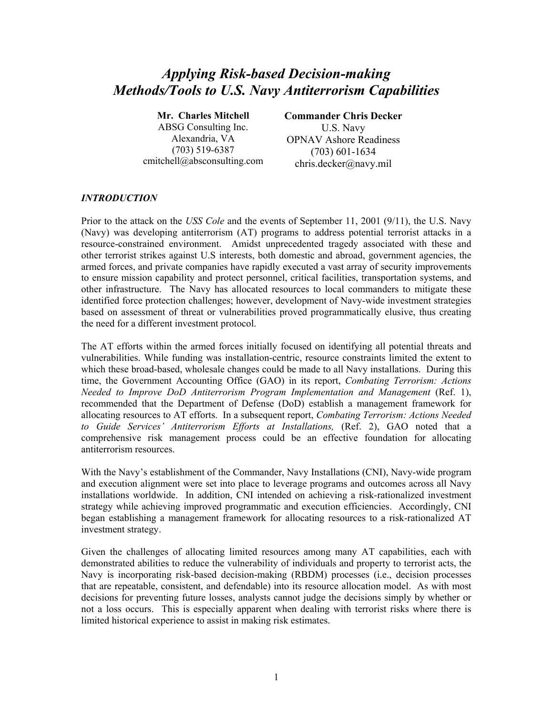# *Applying Risk-based Decision-making Methods/Tools to U.S. Navy Antiterrorism Capabilities*

**Mr. Charles Mitchell**  ABSG Consulting Inc. Alexandria, VA (703) 519-6387 cmitchell@absconsulting.com **Commander Chris Decker** 

U.S. Navy OPNAV Ashore Readiness (703) 601-1634 chris.decker@navy.mil

# *INTRODUCTION*

Prior to the attack on the *USS Cole* and the events of September 11, 2001 (9/11), the U.S. Navy (Navy) was developing antiterrorism (AT) programs to address potential terrorist attacks in a resource-constrained environment. Amidst unprecedented tragedy associated with these and other terrorist strikes against U.S interests, both domestic and abroad, government agencies, the armed forces, and private companies have rapidly executed a vast array of security improvements to ensure mission capability and protect personnel, critical facilities, transportation systems, and other infrastructure. The Navy has allocated resources to local commanders to mitigate these identified force protection challenges; however, development of Navy-wide investment strategies based on assessment of threat or vulnerabilities proved programmatically elusive, thus creating the need for a different investment protocol.

The AT efforts within the armed forces initially focused on identifying all potential threats and vulnerabilities. While funding was installation-centric, resource constraints limited the extent to which these broad-based, wholesale changes could be made to all Navy installations. During this time, the Government Accounting Office (GAO) in its report, *Combating Terrorism: Actions Needed to Improve DoD Antiterrorism Program Implementation and Management* (Ref. 1), recommended that the Department of Defense (DoD) establish a management framework for allocating resources to AT efforts. In a subsequent report, *Combating Terrorism: Actions Needed to Guide Services' Antiterrorism Efforts at Installations,* (Ref. 2), GAO noted that a comprehensive risk management process could be an effective foundation for allocating antiterrorism resources.

With the Navy's establishment of the Commander, Navy Installations (CNI), Navy-wide program and execution alignment were set into place to leverage programs and outcomes across all Navy installations worldwide. In addition, CNI intended on achieving a risk-rationalized investment strategy while achieving improved programmatic and execution efficiencies. Accordingly, CNI began establishing a management framework for allocating resources to a risk-rationalized AT investment strategy.

Given the challenges of allocating limited resources among many AT capabilities, each with demonstrated abilities to reduce the vulnerability of individuals and property to terrorist acts, the Navy is incorporating risk-based decision-making (RBDM) processes (i.e., decision processes that are repeatable, consistent, and defendable) into its resource allocation model. As with most decisions for preventing future losses, analysts cannot judge the decisions simply by whether or not a loss occurs. This is especially apparent when dealing with terrorist risks where there is limited historical experience to assist in making risk estimates.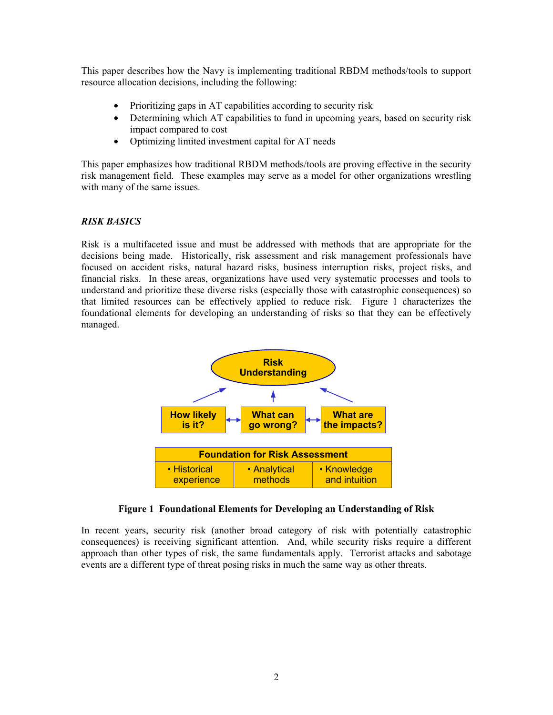This paper describes how the Navy is implementing traditional RBDM methods/tools to support resource allocation decisions, including the following:

- Prioritizing gaps in AT capabilities according to security risk
- Determining which AT capabilities to fund in upcoming years, based on security risk impact compared to cost
- Optimizing limited investment capital for AT needs

This paper emphasizes how traditional RBDM methods/tools are proving effective in the security risk management field. These examples may serve as a model for other organizations wrestling with many of the same issues.

# *RISK BASICS*

Risk is a multifaceted issue and must be addressed with methods that are appropriate for the decisions being made. Historically, risk assessment and risk management professionals have focused on accident risks, natural hazard risks, business interruption risks, project risks, and financial risks. In these areas, organizations have used very systematic processes and tools to understand and prioritize these diverse risks (especially those with catastrophic consequences) so that limited resources can be effectively applied to reduce risk. Figure 1 characterizes the foundational elements for developing an understanding of risks so that they can be effectively managed.



# **Figure 1 Foundational Elements for Developing an Understanding of Risk**

In recent years, security risk (another broad category of risk with potentially catastrophic consequences) is receiving significant attention. And, while security risks require a different approach than other types of risk, the same fundamentals apply. Terrorist attacks and sabotage events are a different type of threat posing risks in much the same way as other threats.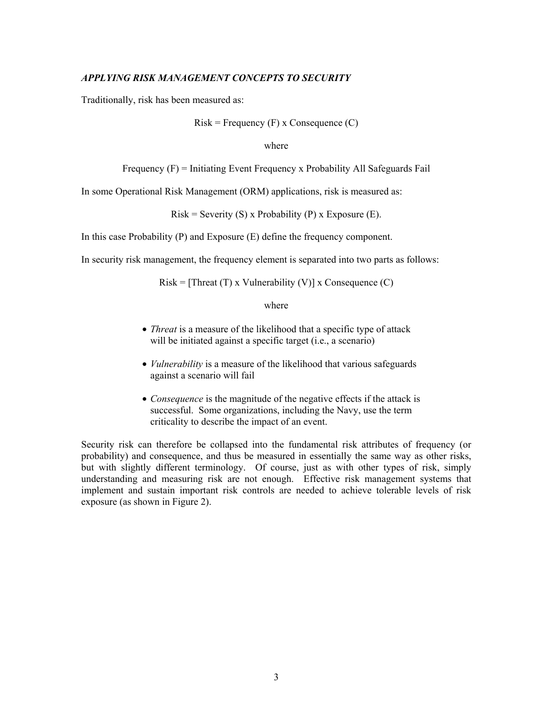#### *APPLYING RISK MANAGEMENT CONCEPTS TO SECURITY*

Traditionally, risk has been measured as:

Risk = Frequency 
$$
(F)
$$
 x Consequence  $(C)$ 

#### where

```
Frequency (F) = Initiating Event Frequency x Probability All Safeguards Fail
```
In some Operational Risk Management (ORM) applications, risk is measured as:

 $Risk =$  Severity (S) x Probability (P) x Exposure (E).

In this case Probability (P) and Exposure (E) define the frequency component.

In security risk management, the frequency element is separated into two parts as follows:

 $Risk = [Thread(T) \times Valnerability(V)] \times Consequence(C)$ 

#### where

- *Threat* is a measure of the likelihood that a specific type of attack will be initiated against a specific target (i.e., a scenario)
- *Vulnerability* is a measure of the likelihood that various safeguards against a scenario will fail
- *Consequence* is the magnitude of the negative effects if the attack is successful. Some organizations, including the Navy, use the term criticality to describe the impact of an event.

Security risk can therefore be collapsed into the fundamental risk attributes of frequency (or probability) and consequence, and thus be measured in essentially the same way as other risks, but with slightly different terminology. Of course, just as with other types of risk, simply understanding and measuring risk are not enough. Effective risk management systems that implement and sustain important risk controls are needed to achieve tolerable levels of risk exposure (as shown in Figure 2).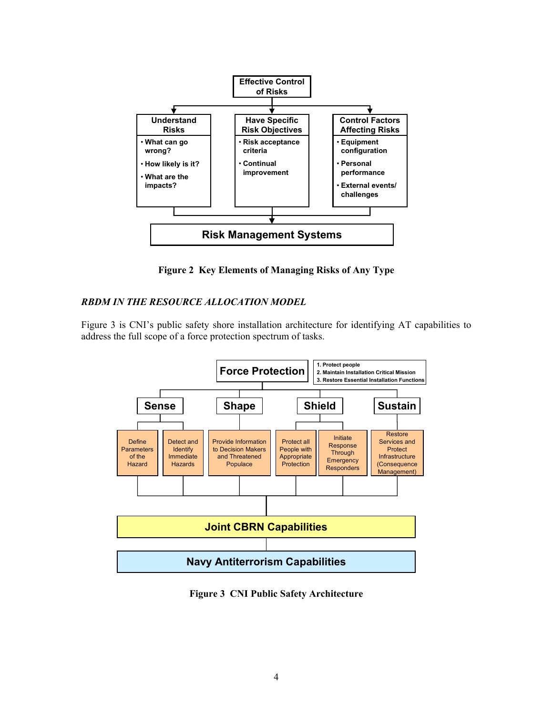

**Figure 2 Key Elements of Managing Risks of Any Type** 

# *RBDM IN THE RESOURCE ALLOCATION MODEL*

Figure 3 is CNI's public safety shore installation architecture for identifying AT capabilities to address the full scope of a force protection spectrum of tasks.



**Figure 3 CNI Public Safety Architecture**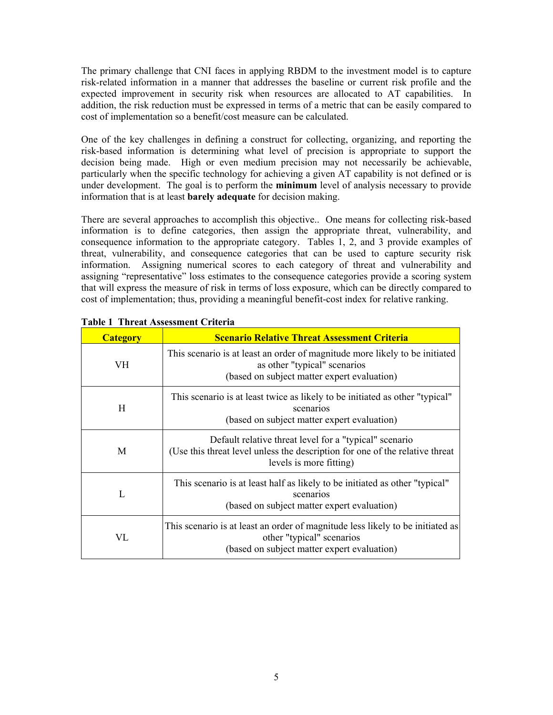The primary challenge that CNI faces in applying RBDM to the investment model is to capture risk-related information in a manner that addresses the baseline or current risk profile and the expected improvement in security risk when resources are allocated to AT capabilities. In addition, the risk reduction must be expressed in terms of a metric that can be easily compared to cost of implementation so a benefit/cost measure can be calculated.

One of the key challenges in defining a construct for collecting, organizing, and reporting the risk-based information is determining what level of precision is appropriate to support the decision being made. High or even medium precision may not necessarily be achievable, particularly when the specific technology for achieving a given AT capability is not defined or is under development. The goal is to perform the **minimum** level of analysis necessary to provide information that is at least **barely adequate** for decision making.

There are several approaches to accomplish this objective.. One means for collecting risk-based information is to define categories, then assign the appropriate threat, vulnerability, and consequence information to the appropriate category. Tables 1, 2, and 3 provide examples of threat, vulnerability, and consequence categories that can be used to capture security risk information. Assigning numerical scores to each category of threat and vulnerability and assigning "representative" loss estimates to the consequence categories provide a scoring system that will express the measure of risk in terms of loss exposure, which can be directly compared to cost of implementation; thus, providing a meaningful benefit-cost index for relative ranking.

| <b>Category</b> | <b>Scenario Relative Threat Assessment Criteria</b>                                                                                                               |  |  |
|-----------------|-------------------------------------------------------------------------------------------------------------------------------------------------------------------|--|--|
| VH              | This scenario is at least an order of magnitude more likely to be initiated<br>as other "typical" scenarios<br>(based on subject matter expert evaluation)        |  |  |
| H               | This scenario is at least twice as likely to be initiated as other "typical"<br>scenarios<br>(based on subject matter expert evaluation)                          |  |  |
| M               | Default relative threat level for a "typical" scenario<br>(Use this threat level unless the description for one of the relative threat<br>levels is more fitting) |  |  |
| L               | This scenario is at least half as likely to be initiated as other "typical"<br>scenarios<br>(based on subject matter expert evaluation)                           |  |  |
| VL.             | This scenario is at least an order of magnitude less likely to be initiated as<br>other "typical" scenarios<br>(based on subject matter expert evaluation)        |  |  |

| <b>Table 1 Threat Assessment Criteria</b> |  |
|-------------------------------------------|--|
|-------------------------------------------|--|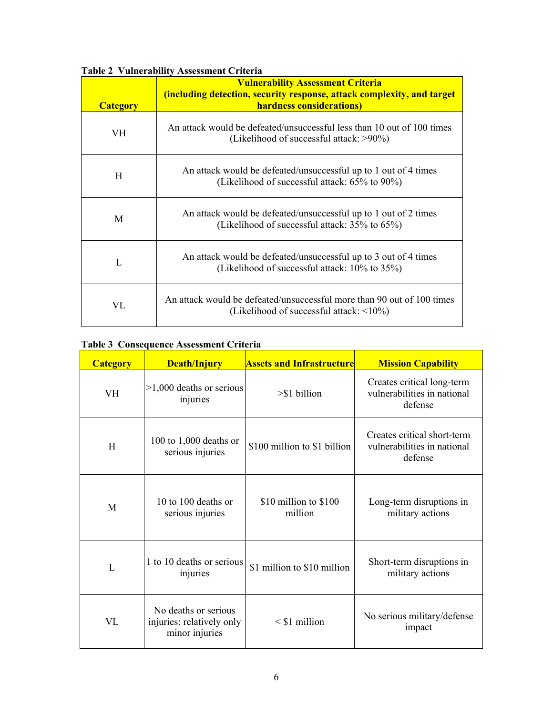|                 | $\alpha$ and $\alpha$ and $\beta$ is a second on $\alpha$<br><b>Vulnerability Assessment Criteria</b>                     |  |  |
|-----------------|---------------------------------------------------------------------------------------------------------------------------|--|--|
|                 | (including detection, security response, attack complexity, and target                                                    |  |  |
| <b>Category</b> | hardness considerations)                                                                                                  |  |  |
| VH              | An attack would be defeated/unsuccessful less than 10 out of 100 times<br>(Likelihood of successful attack: >90%)         |  |  |
| H               | An attack would be defeated/unsuccessful up to 1 out of 4 times<br>(Likelihood of successful attack: 65% to 90%)          |  |  |
| M               | An attack would be defeated/unsuccessful up to 1 out of 2 times<br>(Likelihood of successful attack: $35\%$ to $65\%$ )   |  |  |
| L               | An attack would be defeated/unsuccessful up to 3 out of 4 times<br>(Likelihood of successful attack: 10% to 35%)          |  |  |
| VL              | An attack would be defeated/unsuccessful more than 90 out of 100 times<br>(Likelihood of successful attack: $\leq 10\%$ ) |  |  |

# **Table 2 Vulnerability Assessment Criteria**

# **Table 3 Consequence Assessment Criteria**

| <b>Category</b> | <b>Death/Injury</b>                                                 | <b>Assets and Infrastructure</b>   | <b>Mission Capability</b>                                             |
|-----------------|---------------------------------------------------------------------|------------------------------------|-----------------------------------------------------------------------|
| <b>VH</b>       | $>1,000$ deaths or serious<br>injuries                              | $> $1 \text{ billion}$             | Creates critical long-term<br>vulnerabilities in national<br>defense  |
| H               | 100 to 1,000 deaths or<br>serious injuries                          | \$100 million to \$1 billion       | Creates critical short-term<br>vulnerabilities in national<br>defense |
| M               | $10$ to $100$ deaths or<br>serious injuries                         | $$10$ million to $$100$<br>million | Long-term disruptions in<br>military actions                          |
| L               | 1 to 10 deaths or serious<br>injuries                               | \$1 million to \$10 million        | Short-term disruptions in<br>military actions                         |
| VL              | No deaths or serious<br>injuries; relatively only<br>minor injuries | $\leq$ \$1 million                 | No serious military/defense<br>impact                                 |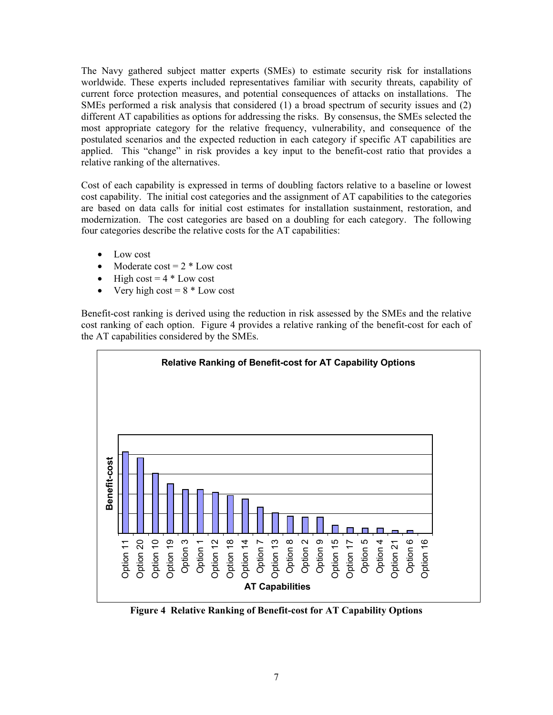The Navy gathered subject matter experts (SMEs) to estimate security risk for installations worldwide. These experts included representatives familiar with security threats, capability of current force protection measures, and potential consequences of attacks on installations. The SMEs performed a risk analysis that considered (1) a broad spectrum of security issues and (2) different AT capabilities as options for addressing the risks. By consensus, the SMEs selected the most appropriate category for the relative frequency, vulnerability, and consequence of the postulated scenarios and the expected reduction in each category if specific AT capabilities are applied. This "change" in risk provides a key input to the benefit-cost ratio that provides a relative ranking of the alternatives.

Cost of each capability is expressed in terms of doubling factors relative to a baseline or lowest cost capability. The initial cost categories and the assignment of AT capabilities to the categories are based on data calls for initial cost estimates for installation sustainment, restoration, and modernization. The cost categories are based on a doubling for each category. The following four categories describe the relative costs for the AT capabilities:

- Low cost
- Moderate  $cost = 2 * Low cost$
- High cost =  $4 *$  Low cost
- Very high cost  $= 8 *$  Low cost

Benefit-cost ranking is derived using the reduction in risk assessed by the SMEs and the relative cost ranking of each option. Figure 4 provides a relative ranking of the benefit-cost for each of the AT capabilities considered by the SMEs.



**Figure 4 Relative Ranking of Benefit-cost for AT Capability Options**